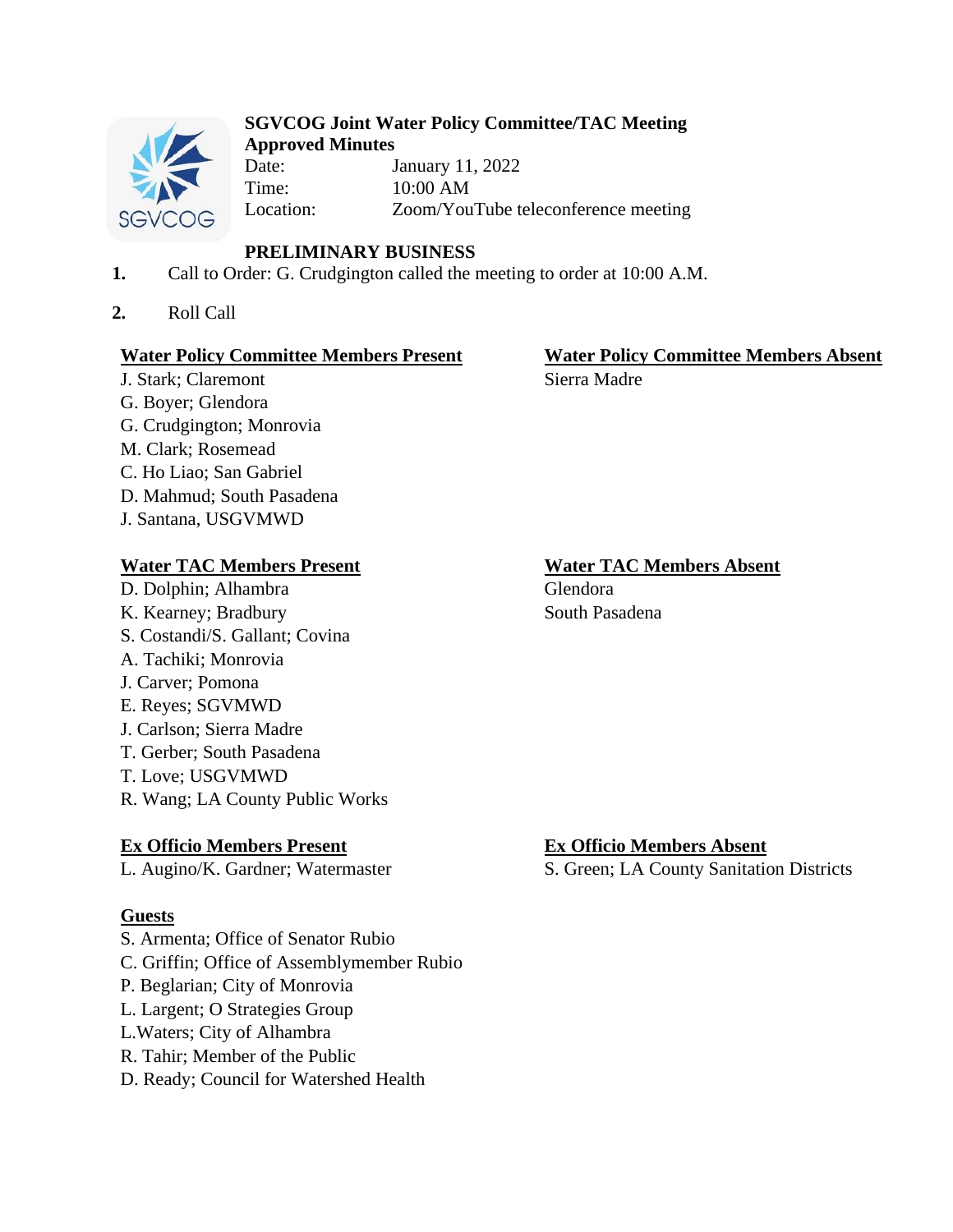

#### **SGVCOG Joint Water Policy Committee/TAC Meeting Approved Minutes**

Date: January 11, 2022 Time: 10:00 AM Location: Zoom/YouTube teleconference meeting

# **PRELIMINARY BUSINESS**

- **1.** Call to Order: G. Crudgington called the meeting to order at 10:00 A.M.
- **2.** Roll Call

## **Water Policy Committee Members Present Water Policy Committee Members Absent**

J. Stark; Claremont Sierra Madre G. Boyer; Glendora G. Crudgington; Monrovia M. Clark; Rosemead C. Ho Liao; San Gabriel D. Mahmud; South Pasadena J. Santana, USGVMWD

# **Water TAC Members Present Water TAC Members Absent**

D. Dolphin; Alhambra Glendora K. Kearney; Bradbury South Pasadena S. Costandi/S. Gallant; Covina A. Tachiki; Monrovia J. Carver; Pomona

- E. Reyes; SGVMWD
- J. Carlson; Sierra Madre
- T. Gerber; South Pasadena
- T. Love; USGVMWD
- R. Wang; LA County Public Works

# **Ex Officio Members Present Ex Officio Members Absent**

# **Guests**

- S. Armenta; Office of Senator Rubio
- C. Griffin; Office of Assemblymember Rubio
- P. Beglarian; City of Monrovia
- L. Largent; O Strategies Group
- L.Waters; City of Alhambra
- R. Tahir; Member of the Public
- D. Ready; Council for Watershed Health

L. Augino/K. Gardner; Watermaster S. Green; LA County Sanitation Districts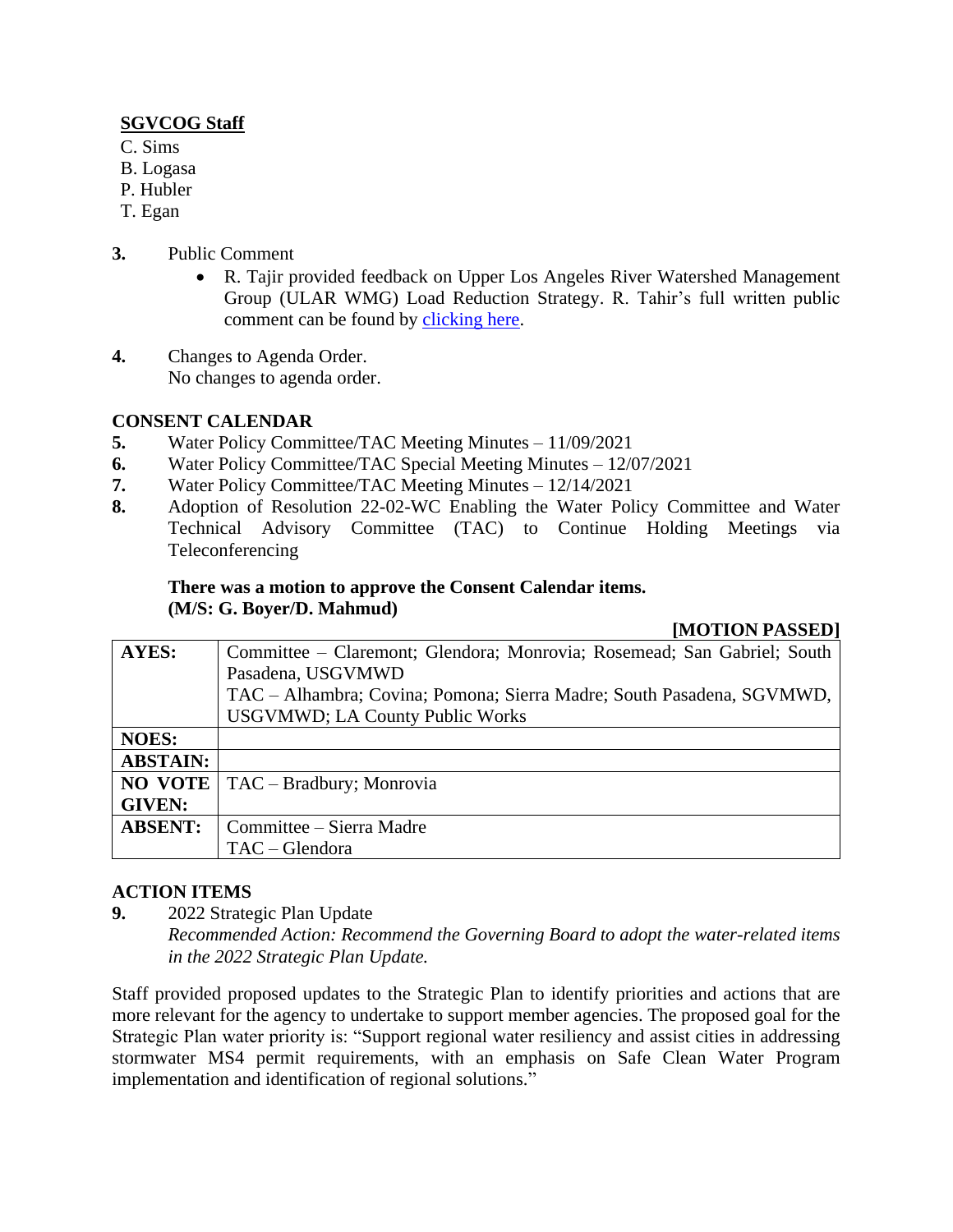### **SGVCOG Staff**

- C. Sims
- B. Logasa
- P. Hubler
- T. Egan
- **3.** Public Comment
	- R. Tajir provided feedback on Upper Los Angeles River Watershed Management Group (ULAR WMG) Load Reduction Strategy. R. Tahir's full written public comment can be found by [clicking here.](https://drive.google.com/file/d/1V4v1XlIIkLVXaBCNE1BH2jwxqMxOBcYU/view?usp=sharing)
- **4.** Changes to Agenda Order. No changes to agenda order.

# **CONSENT CALENDAR**

- **5.** Water Policy Committee/TAC Meeting Minutes 11/09/2021
- **6.** Water Policy Committee/TAC Special Meeting Minutes 12/07/2021
- **7.** Water Policy Committee/TAC Meeting Minutes 12/14/2021
- **8.** Adoption of Resolution 22-02-WC Enabling the Water Policy Committee and Water Technical Advisory Committee (TAC) to Continue Holding Meetings via Teleconferencing

## **There was a motion to approve the Consent Calendar items. (M/S: G. Boyer/D. Mahmud)**

#### **[MOTION PASSED]**

| <b>AYES:</b>    | Committee – Claremont; Glendora; Monrovia; Rosemead; San Gabriel; South |
|-----------------|-------------------------------------------------------------------------|
|                 | Pasadena, USGVMWD                                                       |
|                 | TAC – Alhambra; Covina; Pomona; Sierra Madre; South Pasadena, SGVMWD,   |
|                 | <b>USGVMWD; LA County Public Works</b>                                  |
| <b>NOES:</b>    |                                                                         |
| <b>ABSTAIN:</b> |                                                                         |
| <b>NO VOTE</b>  | TAC – Bradbury; Monrovia                                                |
| <b>GIVEN:</b>   |                                                                         |
| <b>ABSENT:</b>  | Committee – Sierra Madre                                                |
|                 | $TAC - G$ lendora                                                       |

# **ACTION ITEMS**

**9.** 2022 Strategic Plan Update

*Recommended Action: Recommend the Governing Board to adopt the water-related items in the 2022 Strategic Plan Update.*

Staff provided proposed updates to the Strategic Plan to identify priorities and actions that are more relevant for the agency to undertake to support member agencies. The proposed goal for the Strategic Plan water priority is: "Support regional water resiliency and assist cities in addressing stormwater MS4 permit requirements, with an emphasis on Safe Clean Water Program implementation and identification of regional solutions."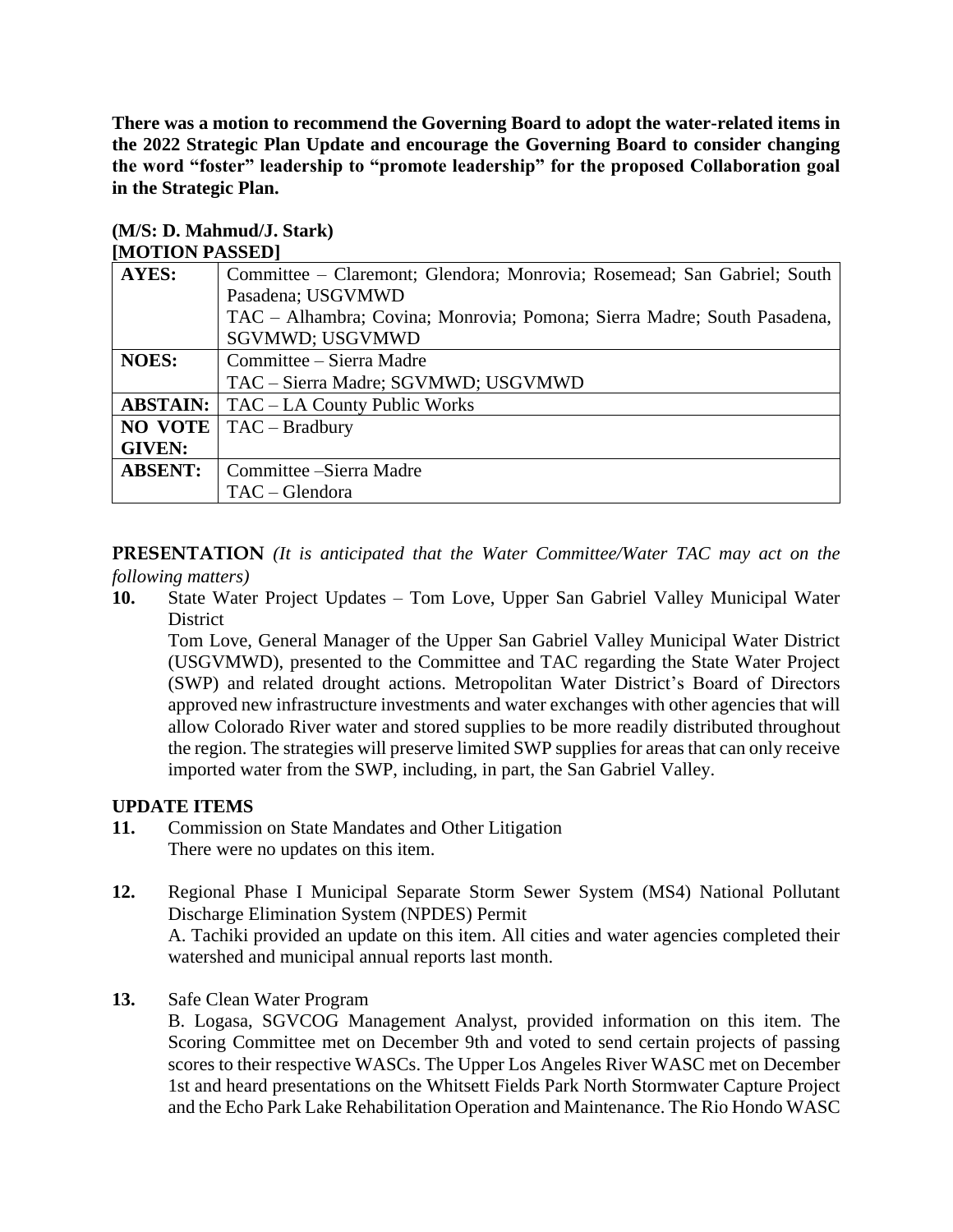**There was a motion to recommend the Governing Board to adopt the water-related items in the 2022 Strategic Plan Update and encourage the Governing Board to consider changing the word "foster" leadership to "promote leadership" for the proposed Collaboration goal in the Strategic Plan.** 

| $\cdots$        |                                                                         |
|-----------------|-------------------------------------------------------------------------|
| <b>AYES:</b>    | Committee – Claremont; Glendora; Monrovia; Rosemead; San Gabriel; South |
|                 | Pasadena; USGVMWD                                                       |
|                 | TAC – Alhambra; Covina; Monrovia; Pomona; Sierra Madre; South Pasadena, |
|                 | SGVMWD; USGVMWD                                                         |
| <b>NOES:</b>    | Committee – Sierra Madre                                                |
|                 | TAC - Sierra Madre; SGVMWD; USGVMWD                                     |
| <b>ABSTAIN:</b> | TAC – LA County Public Works                                            |
| <b>NO VOTE</b>  | $TAC - Bradbury$                                                        |
| <b>GIVEN:</b>   |                                                                         |
| <b>ABSENT:</b>  | Committee – Sierra Madre                                                |
|                 | $TAC - G$ lendora                                                       |

#### **(M/S: D. Mahmud/J. Stark) [MOTION PASSED]**

**PRESENTATION** *(It is anticipated that the Water Committee/Water TAC may act on the following matters)*

**10.** State Water Project Updates – Tom Love, Upper San Gabriel Valley Municipal Water **District** 

Tom Love, General Manager of the Upper San Gabriel Valley Municipal Water District (USGVMWD), presented to the Committee and TAC regarding the State Water Project (SWP) and related drought actions. Metropolitan Water District's Board of Directors approved new infrastructure investments and water exchanges with other agencies that will allow Colorado River water and stored supplies to be more readily distributed throughout the region. The strategies will preserve limited SWP supplies for areas that can only receive imported water from the SWP, including, in part, the San Gabriel Valley.

### **UPDATE ITEMS**

- **11.** Commission on State Mandates and Other Litigation There were no updates on this item.
- **12.** Regional Phase I Municipal Separate Storm Sewer System (MS4) National Pollutant Discharge Elimination System (NPDES) Permit A. Tachiki provided an update on this item. All cities and water agencies completed their watershed and municipal annual reports last month.
- **13.** Safe Clean Water Program

B. Logasa, SGVCOG Management Analyst, provided information on this item. The Scoring Committee met on December 9th and voted to send certain projects of passing scores to their respective WASCs. The Upper Los Angeles River WASC met on December 1st and heard presentations on the Whitsett Fields Park North Stormwater Capture Project and the Echo Park Lake Rehabilitation Operation and Maintenance. The Rio Hondo WASC